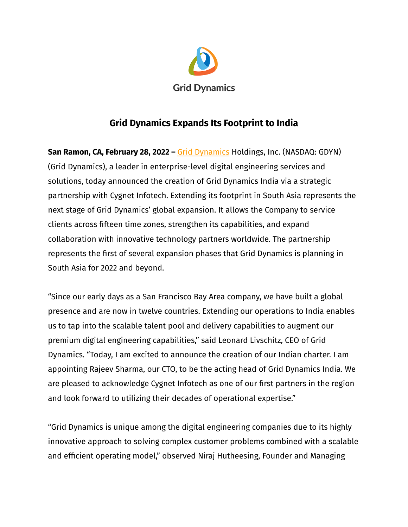

# **Grid Dynamics Expands Its Footprint to India**

**San Ramon, CA, February 28, 2022 –** Grid [Dynamics](https://www.griddynamics.com/) Holdings, Inc. (NASDAQ: GDYN) (Grid Dynamics), a leader in enterprise-level digital engineering services and solutions, today announced the creation of Grid Dynamics India via a strategic partnership with Cygnet Infotech. Extending its footprint in South Asia represents the next stage of Grid Dynamics' global expansion. It allows the Company to service clients across fifteen time zones, strengthen its capabilities, and expand collaboration with innovative technology partners worldwide. The partnership represents the first of several expansion phases that Grid Dynamics is planning in South Asia for 2022 and beyond.

"Since our early days as a San Francisco Bay Area company, we have built a global presence and are now in twelve countries. Extending our operations to India enables us to tap into the scalable talent pool and delivery capabilities to augment our premium digital engineering capabilities," said Leonard Livschitz, CEO of Grid Dynamics. "Today, I am excited to announce the creation of our Indian charter. I am appointing Rajeev Sharma, our CTO, to be the acting head of Grid Dynamics India. We are pleased to acknowledge Cygnet Infotech as one of our first partners in the region and look forward to utilizing their decades of operational expertise."

"Grid Dynamics is unique among the digital engineering companies due to its highly innovative approach to solving complex customer problems combined with a scalable and efficient operating model," observed Niraj Hutheesing, Founder and Managing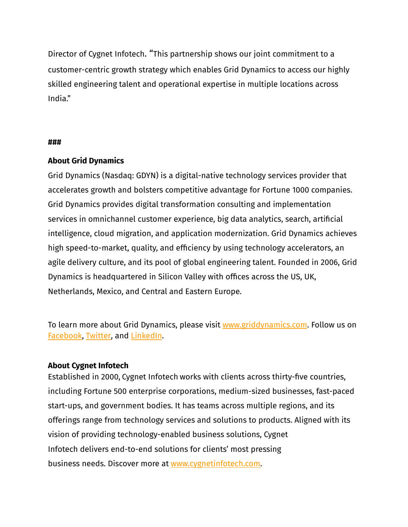Director of Cygnet Infotech. "This partnership shows our joint commitment to a customer-centric growth strategy which enables Grid Dynamics to access our highly skilled engineering talent and operational expertise in multiple locations across India."

#### **###**

## **About Grid Dynamics**

Grid Dynamics (Nasdaq: GDYN) is a digital-native technology services provider that accelerates growth and bolsters competitive advantage for Fortune 1000 companies. Grid Dynamics provides digital transformation consulting and implementation services in omnichannel customer experience, big data analytics, search, artificial intelligence, cloud migration, and application modernization. Grid Dynamics achieves high speed-to-market, quality, and efficiency by using technology accelerators, an agile delivery culture, and its pool of global engineering talent. Founded in 2006, Grid Dynamics is headquartered in Silicon Valley with offices across the US, UK, Netherlands, Mexico, and Central and Eastern Europe.

To learn more about Grid Dynamics, please visit [www.griddynamics.com](http://www.griddynamics.com). Follow us o[n](https://www.facebook.com/griddynamics) [Facebook](https://www.facebook.com/griddynamics), [Twitter,](https://twitter.com/griddynamics) and [LinkedIn](https://www.linkedin.com/company/grid-dynamics/).

### **About Cygnet Infotech**

Established in 2000, Cygnet Infotech works with clients across thirty-five countries, including Fortune 500 enterprise corporations, medium-sized businesses, fast-paced start-ups, and government bodies. It has teams across multiple regions, and its offerings range from technology services and solutions to products. Aligned with its vision of providing technology-enabled business solutions, Cygnet Infotech delivers end-to-end solutions for clients' most pressing business needs. Discover more at [www.cygnetinfotech.com.](https://cygnet-infotech.com/)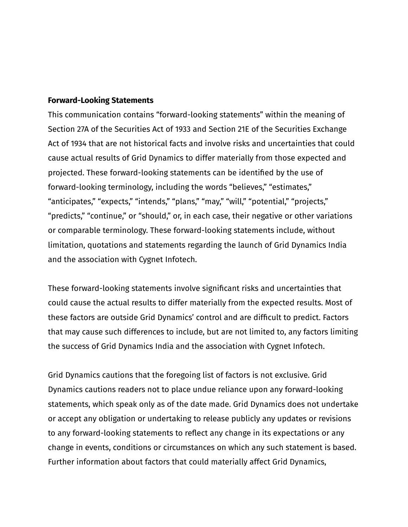#### **Forward-Looking Statements**

This communication contains "forward-looking statements" within the meaning of Section 27A of the Securities Act of 1933 and Section 21E of the Securities Exchange Act of 1934 that are not historical facts and involve risks and uncertainties that could cause actual results of Grid Dynamics to differ materially from those expected and projected. These forward-looking statements can be identified by the use of forward-looking terminology, including the words "believes," "estimates," "anticipates," "expects," "intends," "plans," "may," "will," "potential," "projects," "predicts," "continue," or "should," or, in each case, their negative or other variations or comparable terminology. These forward-looking statements include, without limitation, quotations and statements regarding the launch of Grid Dynamics India and the association with Cygnet Infotech.

These forward-looking statements involve significant risks and uncertainties that could cause the actual results to differ materially from the expected results. Most of these factors are outside Grid Dynamics' control and are difficult to predict. Factors that may cause such differences to include, but are not limited to, any factors limiting the success of Grid Dynamics India and the association with Cygnet Infotech.

Grid Dynamics cautions that the foregoing list of factors is not exclusive. Grid Dynamics cautions readers not to place undue reliance upon any forward-looking statements, which speak only as of the date made. Grid Dynamics does not undertake or accept any obligation or undertaking to release publicly any updates or revisions to any forward-looking statements to reflect any change in its expectations or any change in events, conditions or circumstances on which any such statement is based. Further information about factors that could materially affect Grid Dynamics,